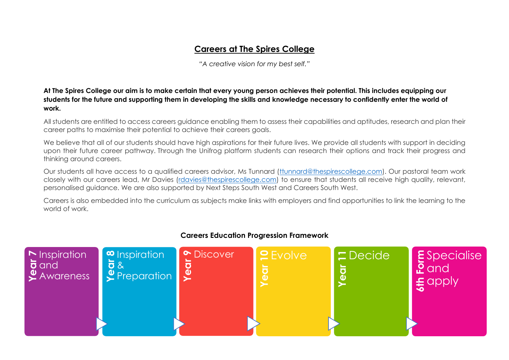## **Careers at The Spires College**

*"A creative vision for my best self."*

**At The Spires College our aim is to make certain that every young person achieves their potential. This includes equipping our students for the future and supporting them in developing the skills and knowledge necessary to confidently enter the world of work.** 

All students are entitled to access careers guidance enabling them to assess their capabilities and aptitudes, research and plan their career paths to maximise their potential to achieve their careers goals.

We believe that all of our students should have high aspirations for their future lives. We provide all students with support in deciding upon their future career pathway. Through the Unifrog platform students can research their options and track their progress and thinking around careers.

Our students all have access to a qualified careers advisor, Ms Tunnard [\(ttunnard@thespirescollege.com\)](mailto:ttunnard@thespirescollege.com). Our pastoral team work closely with our careers lead, Mr Davies [\(rdavies@thespirescollege.com\)](mailto:rdavies@thespirescollege.com) to ensure that students all receive high quality, relevant, personalised guidance. We are also supported by Next Steps South West and Careers South West.

Careers is also embedded into the curriculum as subjects make links with employers and find opportunities to link the learning to the world of work.



## **Careers Education Progression Framework**